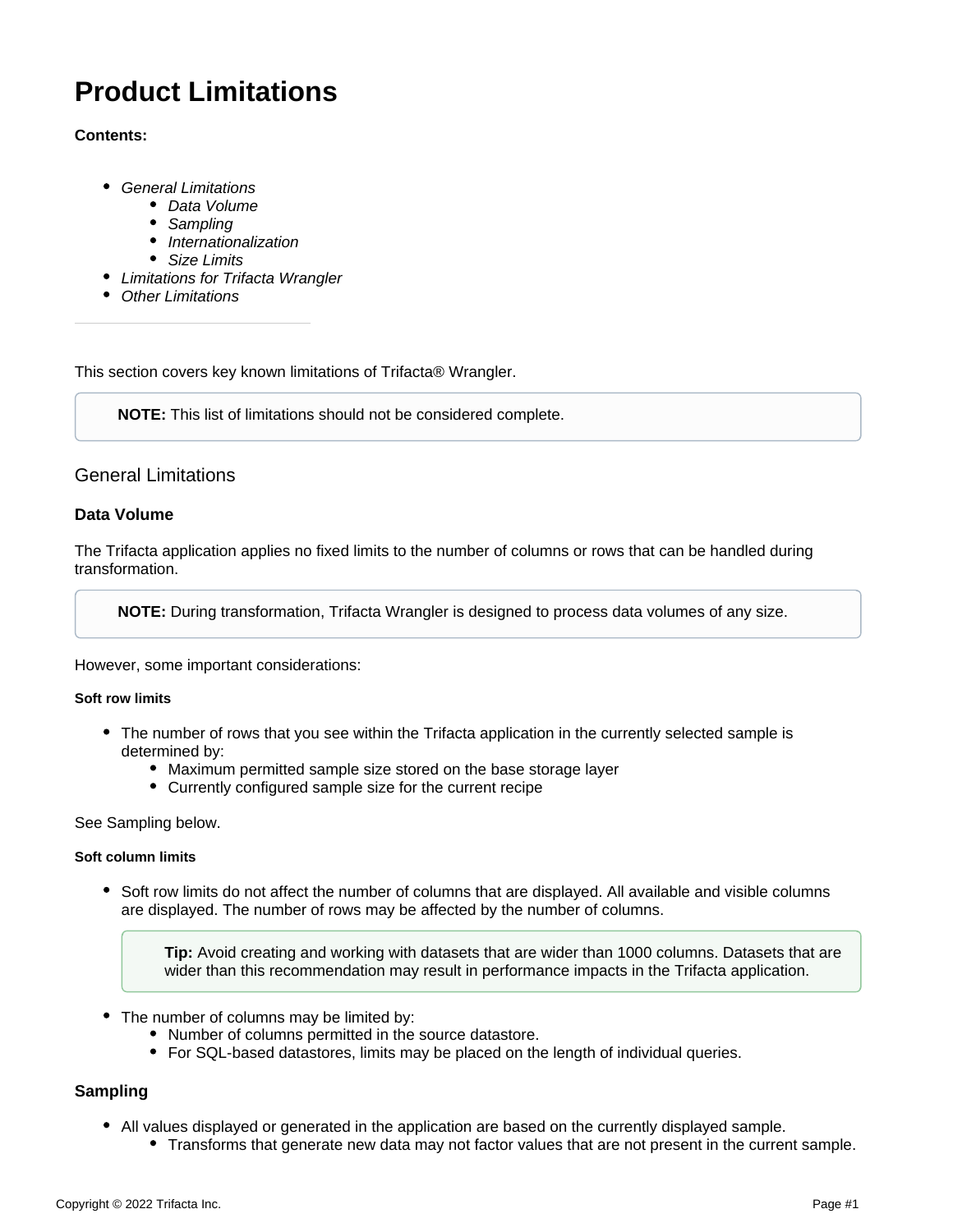# **Product Limitations**

## **Contents:**

- [General Limitations](#page-0-0)
	- [Data Volume](#page-0-1)
	- **[Sampling](#page-0-2)**
	- [Internationalization](#page-1-0)
	- [Size Limits](#page-1-1)
- [Limitations for Trifacta Wrangler](#page-1-2)
- [Other Limitations](#page-2-0)

This section covers key known limitations of Trifacta® Wrangler.

**NOTE:** This list of limitations should not be considered complete.

# <span id="page-0-0"></span>General Limitations

## <span id="page-0-1"></span>**Data Volume**

The Trifacta application applies no fixed limits to the number of columns or rows that can be handled during transformation.

**NOTE:** During transformation, Trifacta Wrangler is designed to process data volumes of any size.

However, some important considerations:

#### **Soft row limits**

- The number of rows that you see within the Trifacta application in the currently selected sample is determined by:
	- Maximum permitted sample size stored on the base storage layer
	- Currently configured sample size for the current recipe

#### See Sampling below.

#### **Soft column limits**

• Soft row limits do not affect the number of columns that are displayed. All available and visible columns are displayed. The number of rows may be affected by the number of columns.

**Tip:** Avoid creating and working with datasets that are wider than 1000 columns. Datasets that are wider than this recommendation may result in performance impacts in the Trifacta application.

- $\bullet$ The number of columns may be limited by:
	- Number of columns permitted in the source datastore.
	- For SQL-based datastores, limits may be placed on the length of individual queries.

#### <span id="page-0-2"></span>**Sampling**

- All values displayed or generated in the application are based on the currently displayed sample.
	- Transforms that generate new data may not factor values that are not present in the current sample.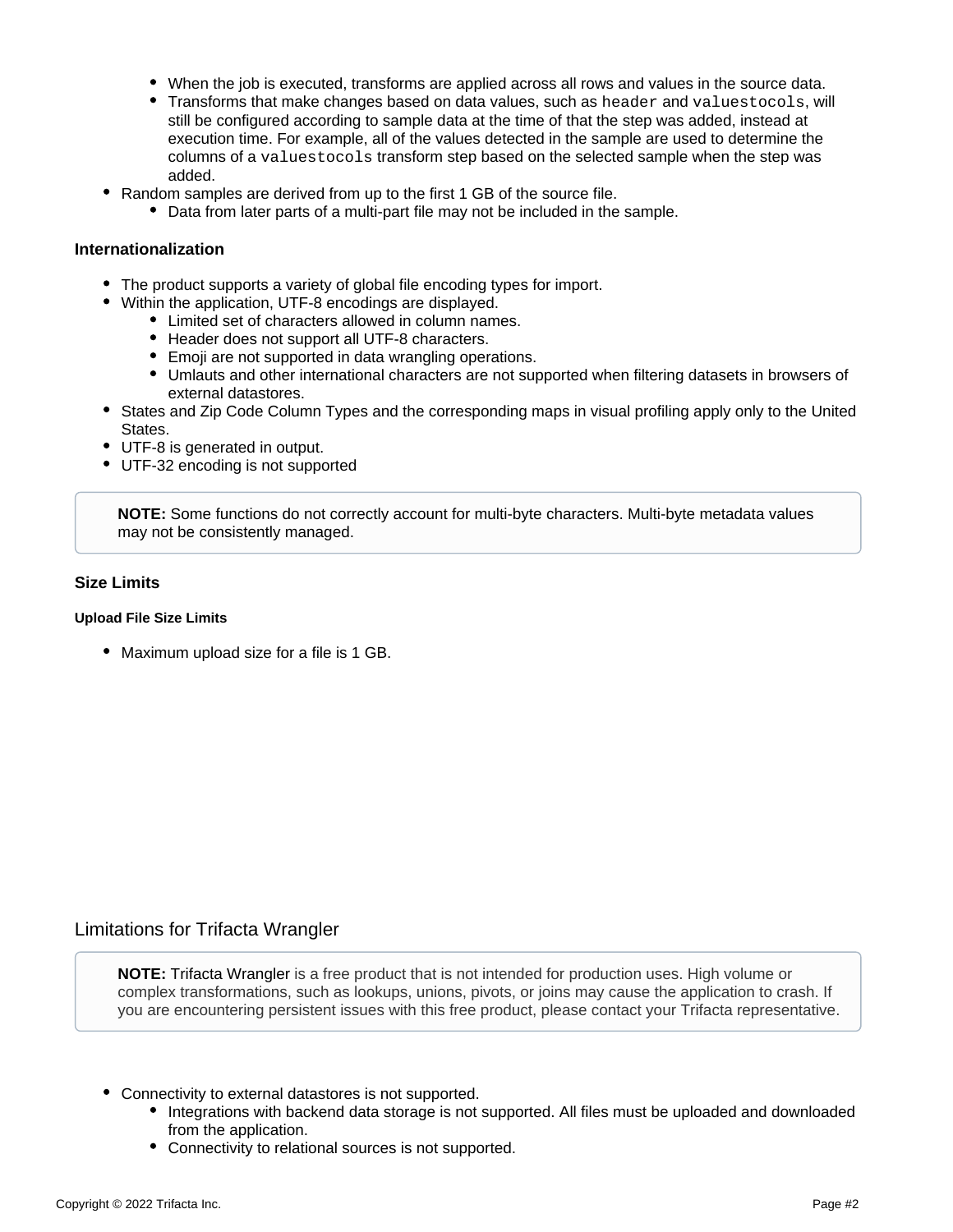- When the job is executed, transforms are applied across all rows and values in the source data.
- Transforms that make changes based on data values, such as header and valuestocols, will still be configured according to sample data at the time of that the step was added, instead at execution time. For example, all of the values detected in the sample are used to determine the columns of a valuestocols transform step based on the selected sample when the step was added.
- Random samples are derived from up to the first 1 GB of the source file.
	- Data from later parts of a multi-part file may not be included in the sample.

## <span id="page-1-0"></span>**Internationalization**

- The product supports a variety of global file encoding types for import.
- Within the application, UTF-8 encodings are displayed.
	- Limited set of characters allowed in column names.
	- Header does not support all UTF-8 characters.
	- Emoji are not supported in data wrangling operations.
	- Umlauts and other international characters are not supported when filtering datasets in browsers of external datastores.
- States and Zip Code Column Types and the corresponding maps in visual profiling apply only to the United States.
- UTF-8 is generated in output.
- UTF-32 encoding is not supported

**NOTE:** Some functions do not correctly account for multi-byte characters. Multi-byte metadata values may not be consistently managed.

# <span id="page-1-1"></span>**Size Limits**

#### **Upload File Size Limits**

• Maximum upload size for a file is 1 GB.

# <span id="page-1-2"></span>Limitations for Trifacta Wrangler

**NOTE:** Trifacta Wrangler is a free product that is not intended for production uses. High volume or complex transformations, such as lookups, unions, pivots, or joins may cause the application to crash. If you are encountering persistent issues with this free product, please contact your Trifacta representative.

- Connectivity to external datastores is not supported.
	- Integrations with backend data storage is not supported. All files must be uploaded and downloaded from the application.
	- Connectivity to relational sources is not supported.